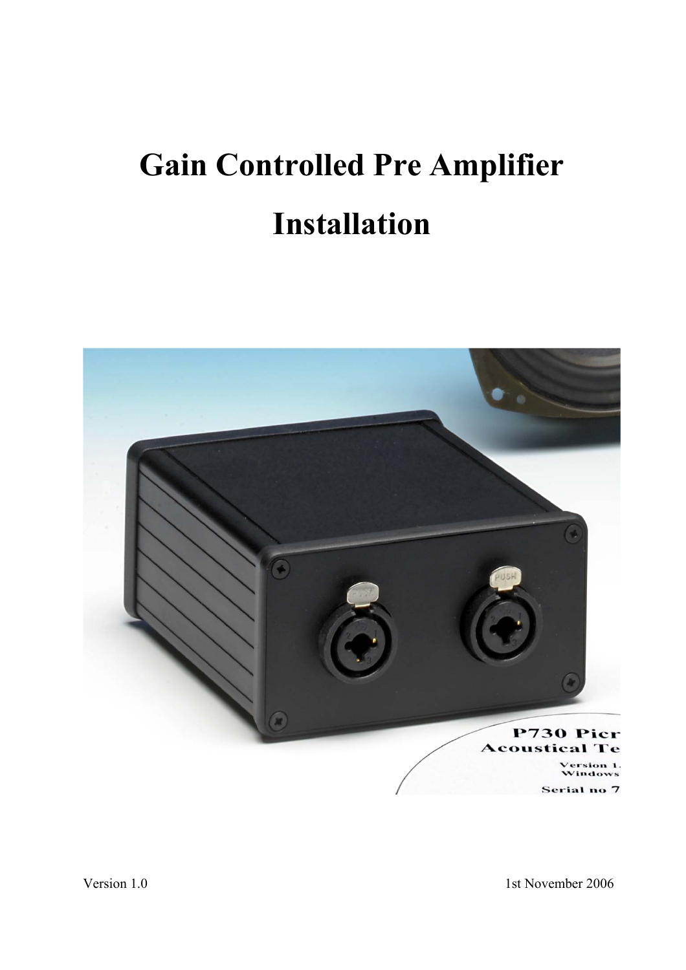# **Gain Controlled Pre Amplifier Installation**



Version 1.0 1st November 2006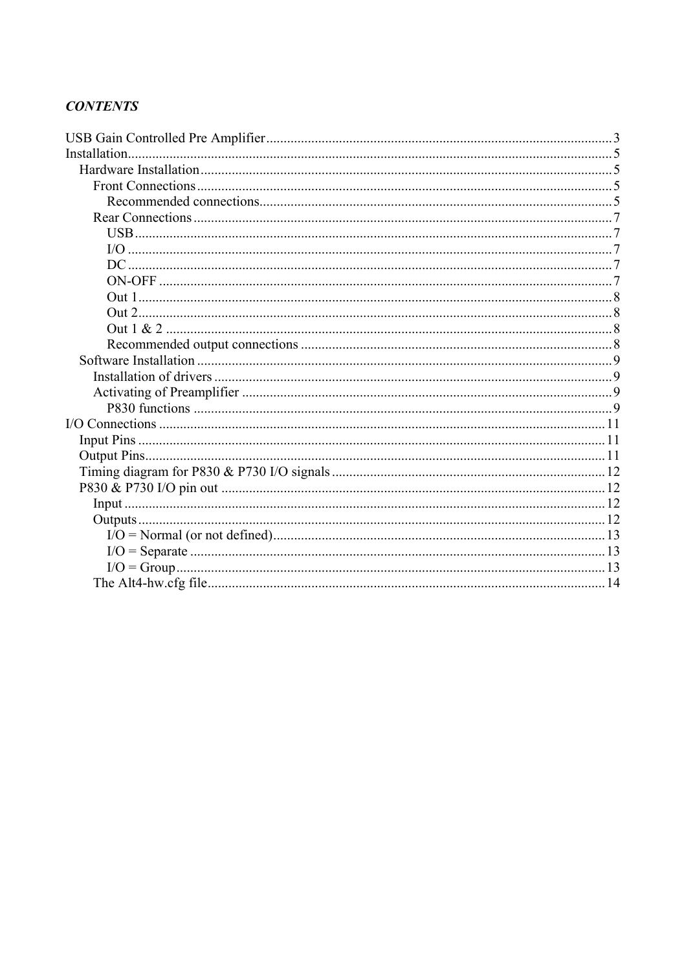#### **CONTENTS**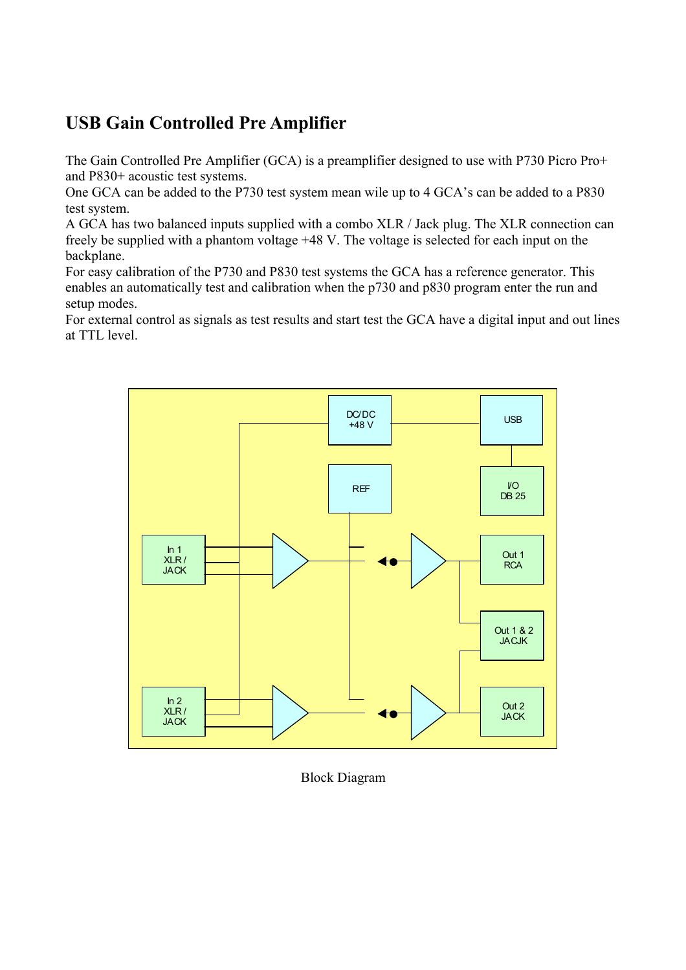# <span id="page-4-0"></span>**USB Gain Controlled Pre Amplifier**

The Gain Controlled Pre Amplifier (GCA) is a preamplifier designed to use with P730 Picro Pro+ and P830+ acoustic test systems.

One GCA can be added to the P730 test system mean wile up to 4 GCA's can be added to a P830 test system.

A GCA has two balanced inputs supplied with a combo XLR / Jack plug. The XLR connection can freely be supplied with a phantom voltage +48 V. The voltage is selected for each input on the backplane.

For easy calibration of the P730 and P830 test systems the GCA has a reference generator. This enables an automatically test and calibration when the p730 and p830 program enter the run and setup modes.

For external control as signals as test results and start test the GCA have a digital input and out lines at TTL level.



Block Diagram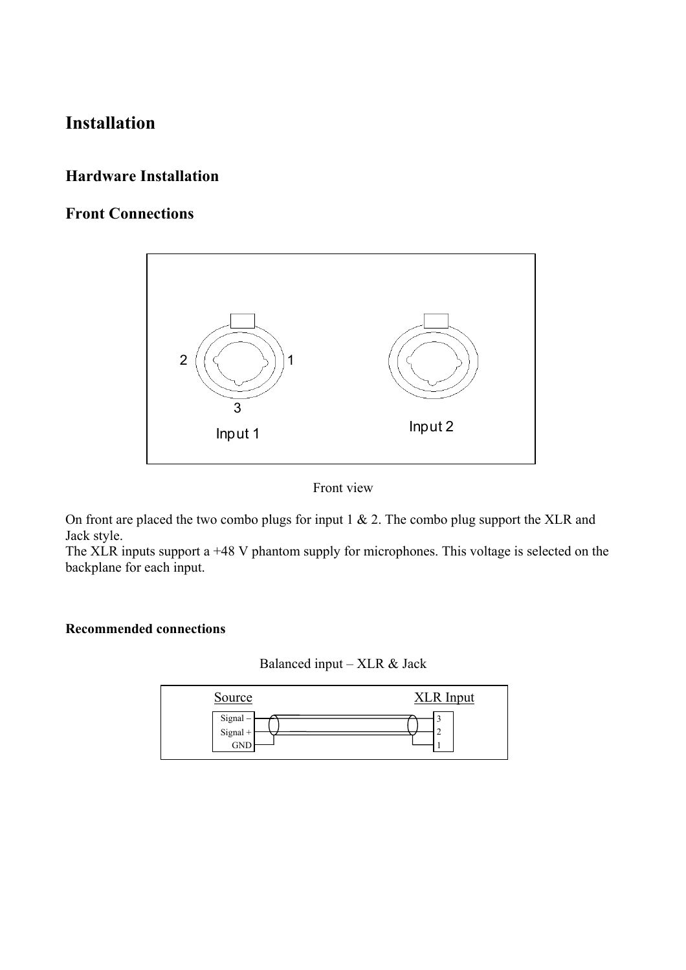# <span id="page-6-0"></span>**Installation**

## **Hardware Installation**

# **Front Connections**





On front are placed the two combo plugs for input 1 & 2. The combo plug support the XLR and Jack style.

The XLR inputs support a +48 V phantom supply for microphones. This voltage is selected on the backplane for each input.

#### **Recommended connections**



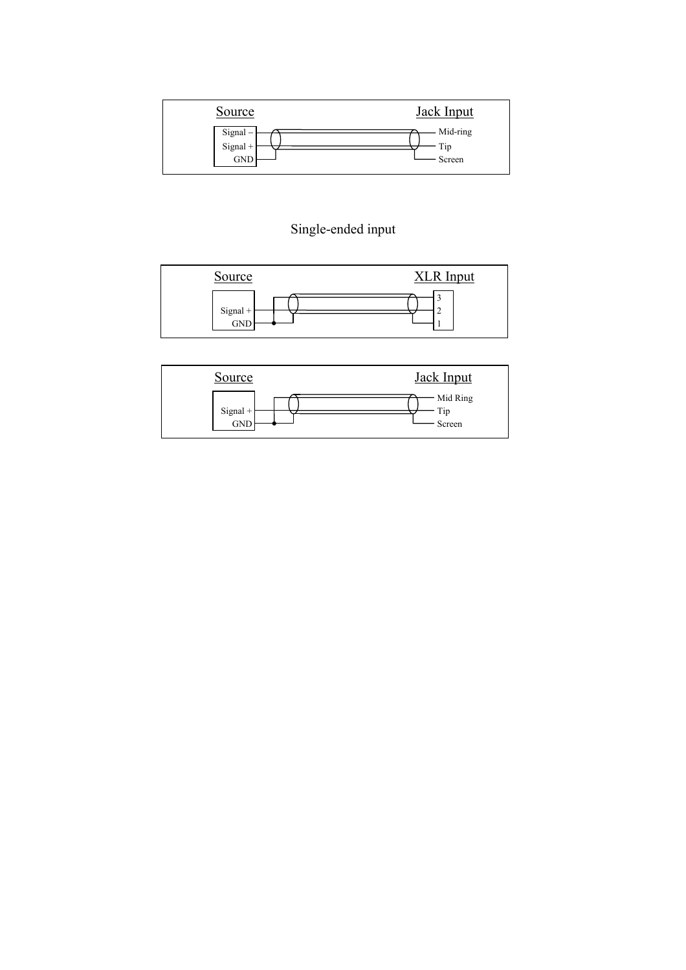| Source     | <b>Jack Input</b> |
|------------|-------------------|
| Signal-    | Mid-ring          |
| $Signal +$ | Tip               |
| <b>GND</b> | Screen            |

# Single-ended input



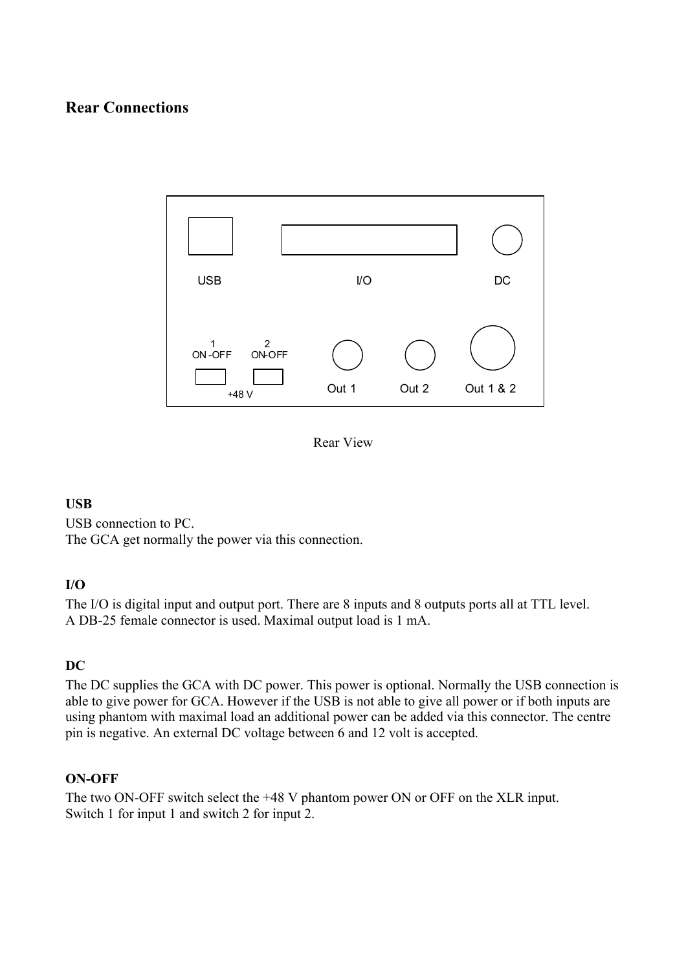## <span id="page-8-0"></span>**Rear Connections**



Rear View

#### **USB**

USB connection to PC. The GCA get normally the power via this connection.

#### **I/O**

The I/O is digital input and output port. There are 8 inputs and 8 outputs ports all at TTL level. A DB-25 female connector is used. Maximal output load is 1 mA.

#### **DC**

The DC supplies the GCA with DC power. This power is optional. Normally the USB connection is able to give power for GCA. However if the USB is not able to give all power or if both inputs are using phantom with maximal load an additional power can be added via this connector. The centre pin is negative. An external DC voltage between 6 and 12 volt is accepted.

#### **ON-OFF**

The two ON-OFF switch select the +48 V phantom power ON or OFF on the XLR input. Switch 1 for input 1 and switch 2 for input 2.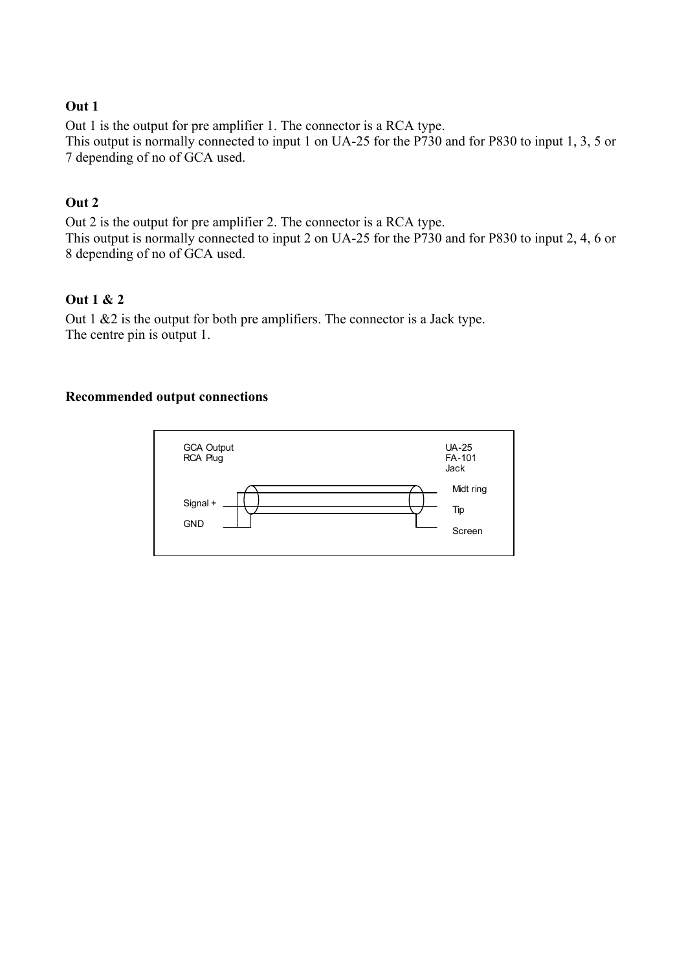#### <span id="page-9-0"></span>**Out 1**

Out 1 is the output for pre amplifier 1. The connector is a RCA type. This output is normally connected to input 1 on UA-25 for the P730 and for P830 to input 1, 3, 5 or 7 depending of no of GCA used.

#### **Out 2**

Out 2 is the output for pre amplifier 2. The connector is a RCA type. This output is normally connected to input 2 on UA-25 for the P730 and for P830 to input 2, 4, 6 or 8 depending of no of GCA used.

#### **Out 1 & 2**

Out 1 &2 is the output for both pre amplifiers. The connector is a Jack type. The centre pin is output 1.

#### **Recommended output connections**

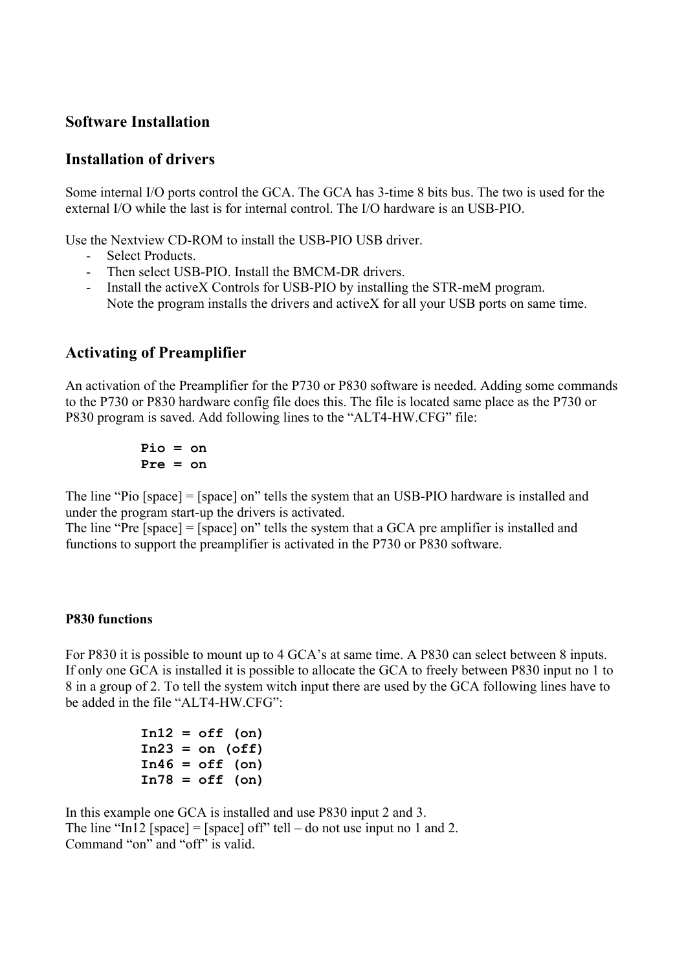## <span id="page-10-0"></span>**Software Installation**

#### **Installation of drivers**

Some internal I/O ports control the GCA. The GCA has 3-time 8 bits bus. The two is used for the external I/O while the last is for internal control. The I/O hardware is an USB-PIO.

Use the Nextview CD-ROM to install the USB-PIO USB driver.

- Select Products.
- Then select USB-PIO. Install the BMCM-DR drivers.
- Install the activeX Controls for USB-PIO by installing the STR-meM program. Note the program installs the drivers and activeX for all your USB ports on same time.

### **Activating of Preamplifier**

An activation of the Preamplifier for the P730 or P830 software is needed. Adding some commands to the P730 or P830 hardware config file does this. The file is located same place as the P730 or P830 program is saved. Add following lines to the "ALT4-HW.CFG" file:

$$
\begin{array}{rcl} \texttt{Pio} & = & \texttt{on} \\ \texttt{Pre} & = & \texttt{on} \end{array}
$$

The line "Pio [space] = [space] on" tells the system that an USB-PIO hardware is installed and under the program start-up the drivers is activated.

The line "Pre [space] = [space] on" tells the system that a GCA pre amplifier is installed and functions to support the preamplifier is activated in the P730 or P830 software.

#### **P830 functions**

For P830 it is possible to mount up to 4 GCA's at same time. A P830 can select between 8 inputs. If only one GCA is installed it is possible to allocate the GCA to freely between P830 input no 1 to 8 in a group of 2. To tell the system witch input there are used by the GCA following lines have to be added in the file "ALT4-HW CFG".

> **In12 = off (on)**   $In23 = on (off)$  **In46 = off (on) In78 = off (on)**

In this example one GCA is installed and use P830 input 2 and 3. The line "In12 [space] = [space] off" tell – do not use input no 1 and 2. Command "on" and "off" is valid.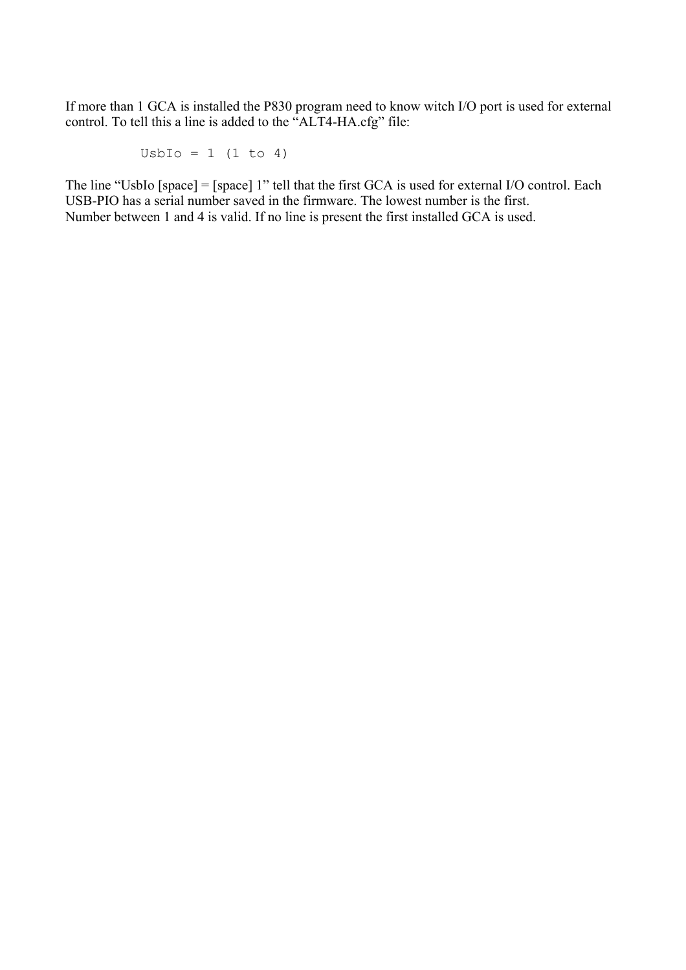If more than 1 GCA is installed the P830 program need to know witch I/O port is used for external control. To tell this a line is added to the "ALT4-HA.cfg" file:

 $U$ sbIo = 1 (1 to 4)

The line "UsbIo [space] = [space] 1" tell that the first GCA is used for external I/O control. Each USB-PIO has a serial number saved in the firmware. The lowest number is the first. Number between 1 and 4 is valid. If no line is present the first installed GCA is used.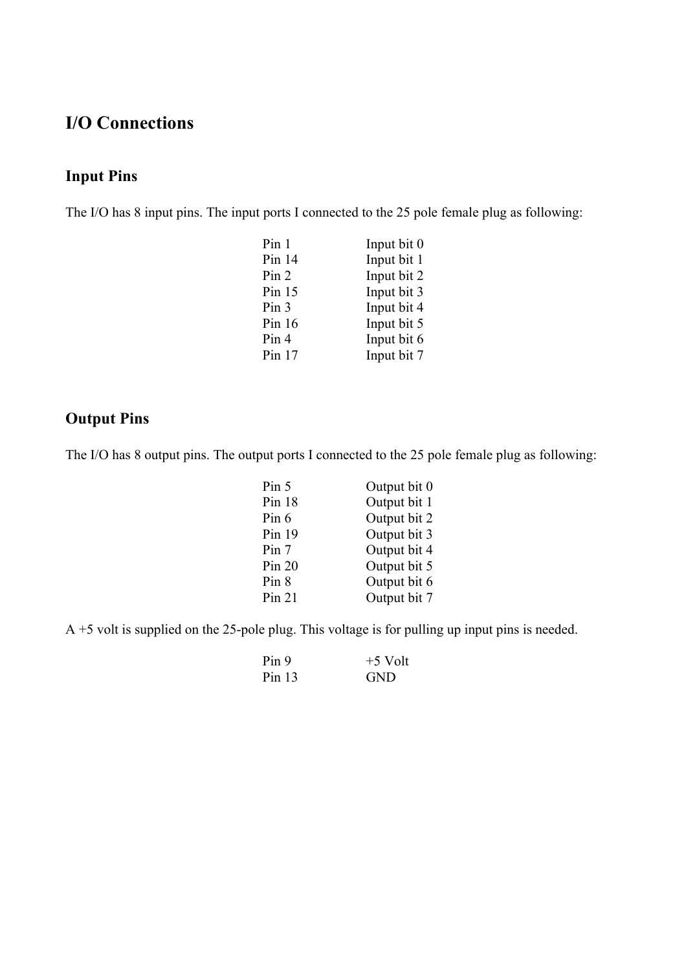# <span id="page-12-0"></span>**I/O Connections**

# **Input Pins**

The I/O has 8 input pins. The input ports I connected to the 25 pole female plug as following:

| Pin 1            | Input bit 0 |
|------------------|-------------|
| Pin $14$         | Input bit 1 |
| Pin 2            | Input bit 2 |
| Pin $15$         | Input bit 3 |
| Pin <sub>3</sub> | Input bit 4 |
| Pin $16$         | Input bit 5 |
| Pin 4            | Input bit 6 |
| Pin $17$         | Input bit 7 |
|                  |             |

# **Output Pins**

The I/O has 8 output pins. The output ports I connected to the 25 pole female plug as following:

| Pin 5    | Output bit 0 |
|----------|--------------|
| Pin $18$ | Output bit 1 |
| Pin 6    | Output bit 2 |
| Pin 19   | Output bit 3 |
| Pin 7    | Output bit 4 |
| Pin 20   | Output bit 5 |
| Pin 8    | Output bit 6 |
| Pin 21   | Output bit 7 |

A +5 volt is supplied on the 25-pole plug. This voltage is for pulling up input pins is needed.

| Pin 9    | $+5$ Volt  |
|----------|------------|
| Pin $13$ | <b>GND</b> |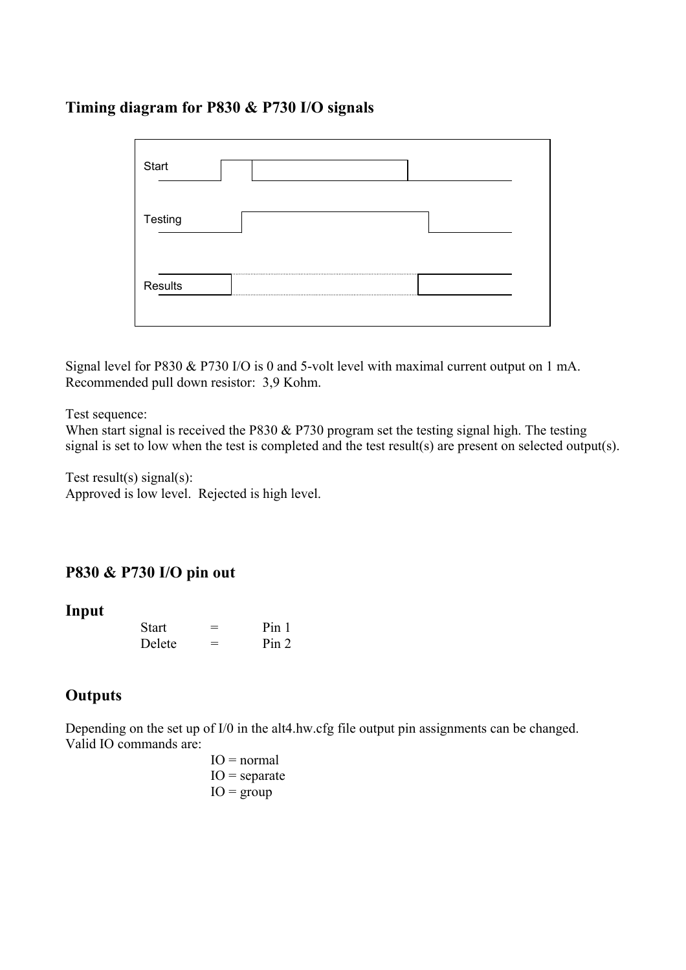## <span id="page-13-0"></span>**Timing diagram for P830 & P730 I/O signals**

| Start   |  |
|---------|--|
| Testing |  |
| Results |  |

Signal level for P830 & P730 I/O is 0 and 5-volt level with maximal current output on 1 mA. Recommended pull down resistor: 3,9 Kohm.

Test sequence:

When start signal is received the P830 & P730 program set the testing signal high. The testing signal is set to low when the test is completed and the test result(s) are present on selected output(s).

Test result(s) signal(s): Approved is low level. Rejected is high level.

## **P830 & P730 I/O pin out**

**Input** 

| <b>Start</b> | – | Pin 1 |
|--------------|---|-------|
| Delete       | – | Pin 2 |

## **Outputs**

Depending on the set up of I/0 in the alt4.hw.cfg file output pin assignments can be changed. Valid IO commands are:

 $IO = normal$  $IO = separate$  $IO = group$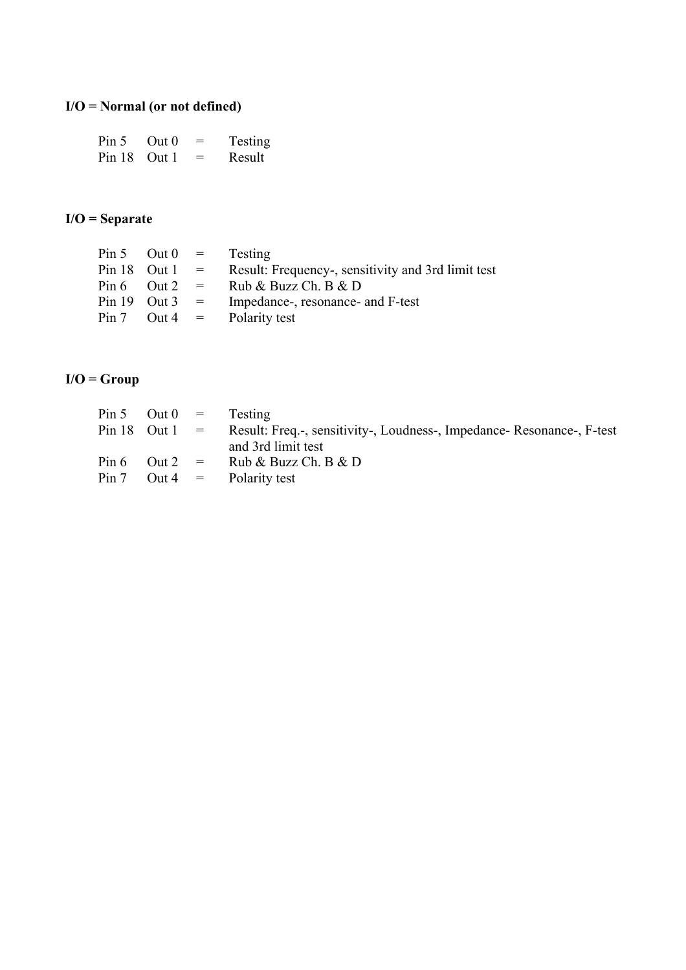# <span id="page-14-0"></span>**I/O = Normal (or not defined)**

| Pin 5        | Out <sub>0</sub> | $=$ | <b>Testing</b> |
|--------------|------------------|-----|----------------|
| Pin 18 Out 1 |                  | $=$ | Result         |

#### **I/O = Separate**

|  | Result: Frequency-, sensitivity and 3rd limit test                                             |
|--|------------------------------------------------------------------------------------------------|
|  | Pin 6 Out 2 = Rub & Buzz Ch. B & D                                                             |
|  | Impedance-, resonance- and F-test                                                              |
|  |                                                                                                |
|  | Pin 5 Out $0 =$ Testing<br>Pin 18 Out $1 =$<br>Pin 19 Out 3 $=$<br>Pin 7 Out 4 = Polarity test |

# **I/O = Group**

| $Pin 5$ Out $0 =$ | <b>Testing</b>                                                         |
|-------------------|------------------------------------------------------------------------|
| Pin 18 Out $1 =$  | Result: Freq.-, sensitivity-, Loudness-, Impedance- Resonance-, F-test |
|                   | and 3rd limit test                                                     |
| $Pin 6$ Out $2 =$ | Rub & Buzz Ch. B & D                                                   |
| $Pin 7$ Out 4 =   | Polarity test                                                          |